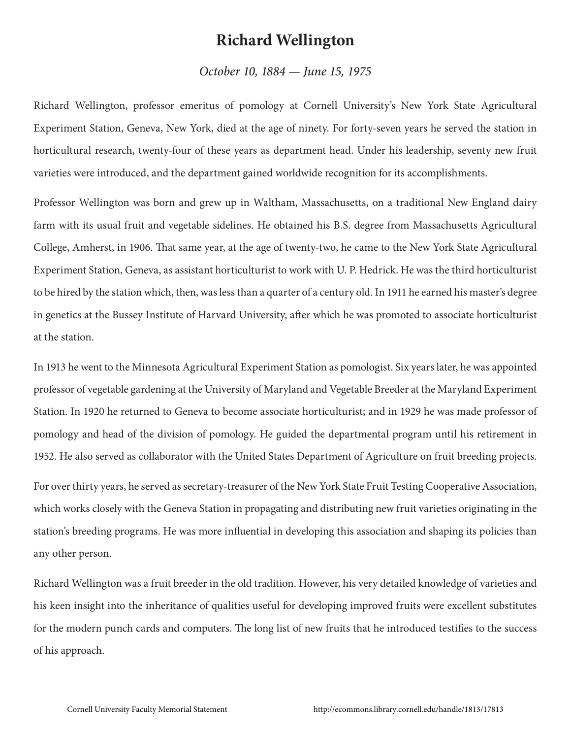## **Richard Wellington**

## *October 10, 1884 — June 15, 1975*

Richard Wellington, professor emeritus of pomology at Cornell University's New York State Agricultural Experiment Station, Geneva, New York, died at the age of ninety. For forty-seven years he served the station in horticultural research, twenty-four of these years as department head. Under his leadership, seventy new fruit varieties were introduced, and the department gained worldwide recognition for its accomplishments.

Professor Wellington was born and grew up in Waltham, Massachusetts, on a traditional New England dairy farm with its usual fruit and vegetable sidelines. He obtained his B.S. degree from Massachusetts Agricultural College, Amherst, in 1906. That same year, at the age of twenty-two, he came to the New York State Agricultural Experiment Station, Geneva, as assistant horticulturist to work with U. P. Hedrick. He was the third horticulturist to be hired by the station which, then, was less than a quarter of a century old. In 1911 he earned his master's degree in genetics at the Bussey Institute of Harvard University, after which he was promoted to associate horticulturist at the station.

In 1913 he went to the Minnesota Agricultural Experiment Station as pomologist. Six years later, he was appointed professor of vegetable gardening at the University of Maryland and Vegetable Breeder at the Maryland Experiment Station. In 1920 he returned to Geneva to become associate horticulturist; and in 1929 he was made professor of pomology and head of the division of pomology. He guided the departmental program until his retirement in 1952. He also served as collaborator with the United States Department of Agriculture on fruit breeding projects.

For over thirty years, he served as secretary-treasurer of the New York State Fruit Testing Cooperative Association, which works closely with the Geneva Station in propagating and distributing new fruit varieties originating in the station's breeding programs. He was more influential in developing this association and shaping its policies than any other person.

Richard Wellington was a fruit breeder in the old tradition. However, his very detailed knowledge of varieties and his keen insight into the inheritance of qualities useful for developing improved fruits were excellent substitutes for the modern punch cards and computers. The long list of new fruits that he introduced testifies to the success of his approach.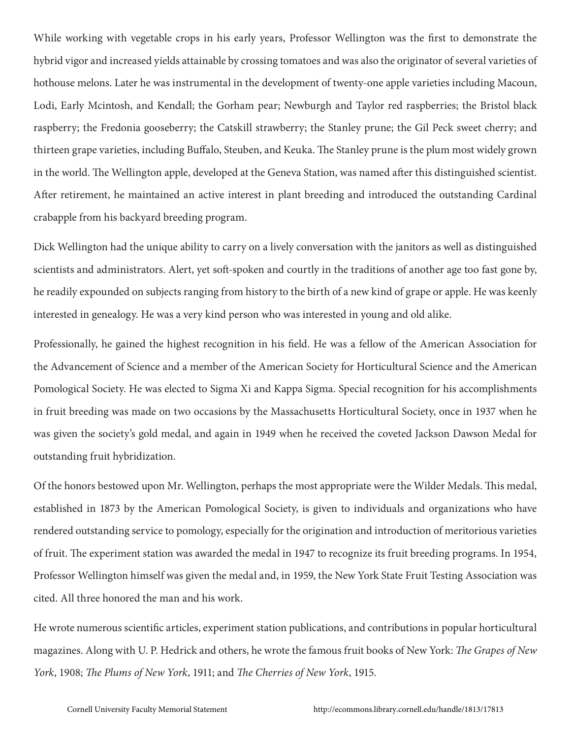While working with vegetable crops in his early years, Professor Wellington was the first to demonstrate the hybrid vigor and increased yields attainable by crossing tomatoes and was also the originator of several varieties of hothouse melons. Later he was instrumental in the development of twenty-one apple varieties including Macoun, Lodi, Early Mcintosh, and Kendall; the Gorham pear; Newburgh and Taylor red raspberries; the Bristol black raspberry; the Fredonia gooseberry; the Catskill strawberry; the Stanley prune; the Gil Peck sweet cherry; and thirteen grape varieties, including Buffalo, Steuben, and Keuka. The Stanley prune is the plum most widely grown in the world. The Wellington apple, developed at the Geneva Station, was named after this distinguished scientist. After retirement, he maintained an active interest in plant breeding and introduced the outstanding Cardinal crabapple from his backyard breeding program.

Dick Wellington had the unique ability to carry on a lively conversation with the janitors as well as distinguished scientists and administrators. Alert, yet soft-spoken and courtly in the traditions of another age too fast gone by, he readily expounded on subjects ranging from history to the birth of a new kind of grape or apple. He was keenly interested in genealogy. He was a very kind person who was interested in young and old alike.

Professionally, he gained the highest recognition in his field. He was a fellow of the American Association for the Advancement of Science and a member of the American Society for Horticultural Science and the American Pomological Society. He was elected to Sigma Xi and Kappa Sigma. Special recognition for his accomplishments in fruit breeding was made on two occasions by the Massachusetts Horticultural Society, once in 1937 when he was given the society's gold medal, and again in 1949 when he received the coveted Jackson Dawson Medal for outstanding fruit hybridization.

Of the honors bestowed upon Mr. Wellington, perhaps the most appropriate were the Wilder Medals. This medal, established in 1873 by the American Pomological Society, is given to individuals and organizations who have rendered outstanding service to pomology, especially for the origination and introduction of meritorious varieties of fruit. The experiment station was awarded the medal in 1947 to recognize its fruit breeding programs. In 1954, Professor Wellington himself was given the medal and, in 1959, the New York State Fruit Testing Association was cited. All three honored the man and his work.

He wrote numerous scientific articles, experiment station publications, and contributions in popular horticultural magazines. Along with U. P. Hedrick and others, he wrote the famous fruit books of New York: *The Grapes of New York*, 1908; *The Plums of New York*, 1911; and *The Cherries of New York*, 1915.